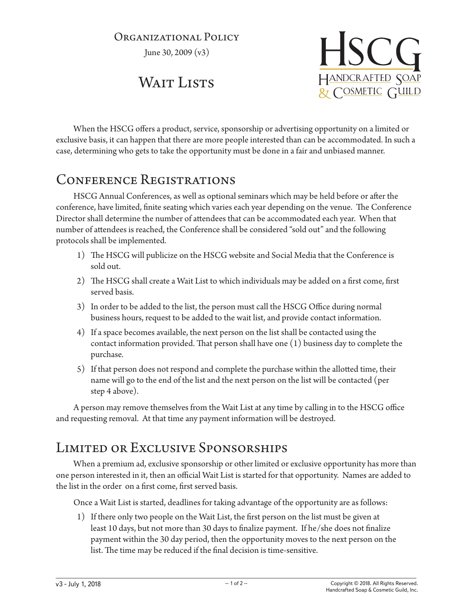### Organizational Policy

June 30, 2009 (v3)

# WAIT LISTS



When the HSCG offers a product, service, sponsorship or advertising opportunity on a limited or exclusive basis, it can happen that there are more people interested than can be accommodated. In such a case, determining who gets to take the opportunity must be done in a fair and unbiased manner.

## Conference Registrations

HSCG Annual Conferences, as well as optional seminars which may be held before or after the conference, have limited, finite seating which varies each year depending on the venue. The Conference Director shall determine the number of attendees that can be accommodated each year. When that number of attendees is reached, the Conference shall be considered "sold out" and the following protocols shall be implemented.

- 1) The HSCG will publicize on the HSCG website and Social Media that the Conference is sold out.
- 2) The HSCG shall create a Wait List to which individuals may be added on a first come, first served basis.
- 3) In order to be added to the list, the person must call the HSCG Office during normal business hours, request to be added to the wait list, and provide contact information.
- 4) If a space becomes available, the next person on the list shall be contacted using the contact information provided. That person shall have one (1) business day to complete the purchase.
- 5) If that person does not respond and complete the purchase within the allotted time, their name will go to the end of the list and the next person on the list will be contacted (per step 4 above).

A person may remove themselves from the Wait List at any time by calling in to the HSCG office and requesting removal. At that time any payment information will be destroyed.

## Limited or Exclusive Sponsorships

When a premium ad, exclusive sponsorship or other limited or exclusive opportunity has more than one person interested in it, then an official Wait List is started for that opportunity. Names are added to the list in the order on a first come, first served basis.

Once a Wait List is started, deadlines for taking advantage of the opportunity are as follows:

1) If there only two people on the Wait List, the first person on the list must be given at least 10 days, but not more than 30 days to finalize payment. If he/she does not finalize payment within the 30 day period, then the opportunity moves to the next person on the list. The time may be reduced if the final decision is time-sensitive.